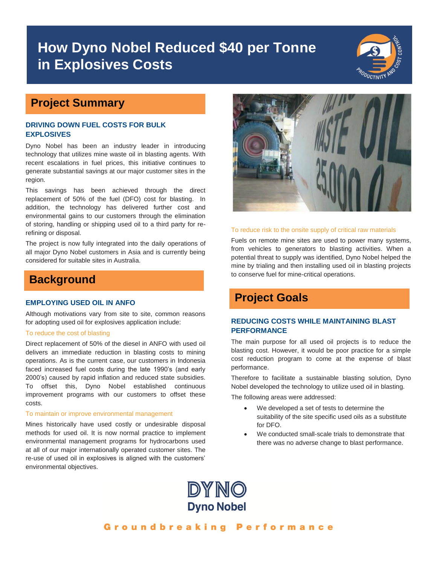# **How Dyno Nobel Reduced \$40 per Tonne in Explosives Costs**



## **Project Summary**

### **DRIVING DOWN FUEL COSTS FOR BULK EXPLOSIVES**

Dyno Nobel has been an industry leader in introducing technology that utilizes mine waste oil in blasting agents. With recent escalations in fuel prices, this initiative continues to generate substantial savings at our major customer sites in the region.

This savings has been achieved through the direct replacement of 50% of the fuel (DFO) cost for blasting. In addition, the technology has delivered further cost and environmental gains to our customers through the elimination of storing, handling or shipping used oil to a third party for rerefining or disposal.

The project is now fully integrated into the daily operations of all major Dyno Nobel customers in Asia and is currently being considered for suitable sites in Australia.

## **Background**

#### **EMPLOYING USED OIL IN ANFO**

Although motivations vary from site to site, common reasons for adopting used oil for explosives application include:

#### To reduce the cost of blasting

Direct replacement of 50% of the diesel in ANFO with used oil delivers an immediate reduction in blasting costs to mining operations. As is the current case, our customers in Indonesia faced increased fuel costs during the late 1990's (and early 2000's) caused by rapid inflation and reduced state subsidies. To offset this, Dyno Nobel established continuous improvement programs with our customers to offset these costs.

#### To maintain or improve environmental management

Mines historically have used costly or undesirable disposal methods for used oil. It is now normal practice to implement environmental management programs for hydrocarbons used at all of our major internationally operated customer sites. The re-use of used oil in explosives is aligned with the customers' environmental objectives.



#### To reduce risk to the onsite supply of critical raw materials

Fuels on remote mine sites are used to power many systems, from vehicles to generators to blasting activities. When a potential threat to supply was identified, Dyno Nobel helped the mine by trialing and then installing used oil in blasting projects to conserve fuel for mine-critical operations.

## **Project Goals**

### **REDUCING COSTS WHILE MAINTAINING BLAST PERFORMANCE**

The main purpose for all used oil projects is to reduce the blasting cost. However, it would be poor practice for a simple cost reduction program to come at the expense of blast performance.

Therefore to facilitate a sustainable blasting solution, Dyno Nobel developed the technology to utilize used oil in blasting.

The following areas were addressed:

- We developed a set of tests to determine the suitability of the site specific used oils as a substitute for DFO.
- We conducted small-scale trials to demonstrate that there was no adverse change to blast performance.